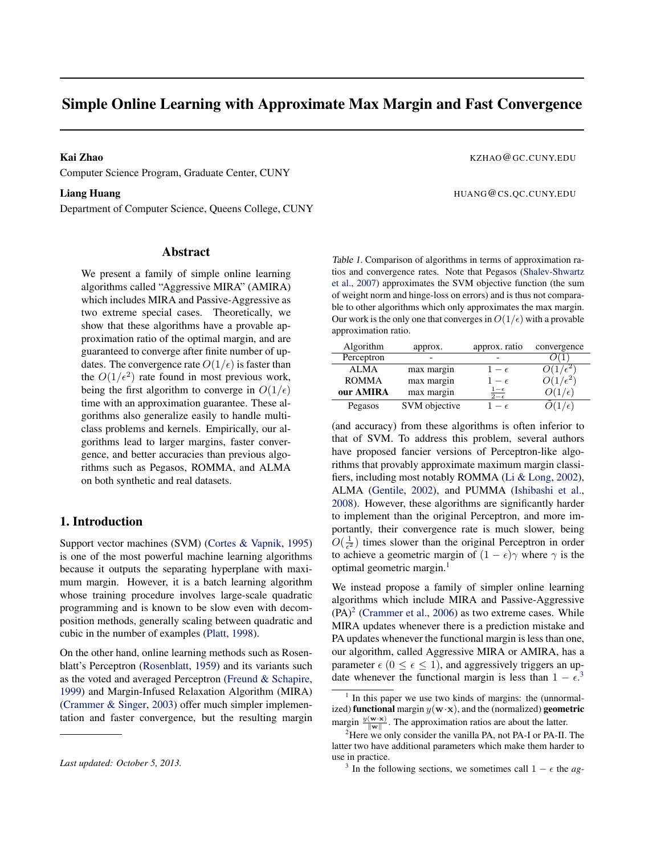# <span id="page-0-0"></span>Simple Online Learning with Approximate Max Margin and Fast Convergence

Computer Science Program, Graduate Center, CUNY

Department of Computer Science, Queens College, CUNY

# Abstract

We present a family of simple online learning algorithms called "Aggressive MIRA" (AMIRA) which includes MIRA and Passive-Aggressive as two extreme special cases. Theoretically, we show that these algorithms have a provable approximation ratio of the optimal margin, and are guaranteed to converge after finite number of updates. The convergence rate  $O(1/\epsilon)$  is faster than the  $O(1/\epsilon^2)$  rate found in most previous work, being the first algorithm to converge in  $O(1/\epsilon)$ time with an approximation guarantee. These algorithms also generalize easily to handle multiclass problems and kernels. Empirically, our algorithms lead to larger margins, faster convergence, and better accuracies than previous algorithms such as Pegasos, ROMMA, and ALMA on both synthetic and real datasets.

# 1. Introduction

Support vector machines (SVM) [\(Cortes & Vapnik,](#page-8-0) [1995\)](#page-8-0) is one of the most powerful machine learning algorithms because it outputs the separating hyperplane with maximum margin. However, it is a batch learning algorithm whose training procedure involves large-scale quadratic programming and is known to be slow even with decomposition methods, generally scaling between quadratic and cubic in the number of examples [\(Platt,](#page-8-0) [1998\)](#page-8-0).

On the other hand, online learning methods such as Rosenblatt's Perceptron [\(Rosenblatt,](#page-8-0) [1959\)](#page-8-0) and its variants such as the voted and averaged Perceptron [\(Freund & Schapire,](#page-8-0) [1999\)](#page-8-0) and Margin-Infused Relaxation Algorithm (MIRA) [\(Crammer & Singer,](#page-8-0) [2003\)](#page-8-0) offer much simpler implementation and faster convergence, but the resulting margin

### Kai Zhao KZHAO@GC.CUNY.EDU

Liang Huang **Huang Huang Huang Huang Huang Huang Huang Huang Huang Huang Huang Huang Huang Huang Huang Huang Huang Huang Huang Huang Huang Huang Huang Huang Huang Huang Huang Huang Huang Huang Huang Huang Huang Huang Huang** 

Table 1. Comparison of algorithms in terms of approximation ratios and convergence rates. Note that Pegasos [\(Shalev-Shwartz](#page-8-0) [et al.,](#page-8-0) [2007\)](#page-8-0) approximates the SVM objective function (the sum of weight norm and hinge-loss on errors) and is thus not comparable to other algorithms which only approximates the max margin. Our work is the only one that converges in  $O(1/\epsilon)$  with a provable approximation ratio.

| Algorithm    | approx.       | approx. ratio                   | convergence         |
|--------------|---------------|---------------------------------|---------------------|
| Perceptron   |               |                                 |                     |
| <b>ALMA</b>  | max margin    | $1-\epsilon$                    |                     |
| <b>ROMMA</b> | max margin    | $1-\epsilon$                    | $\sqrt{\epsilon^2}$ |
| our AMIRA    | max margin    | $\frac{1-\epsilon}{2-\epsilon}$ | $(1/\epsilon)$      |
| Pegasos      | SVM objective |                                 |                     |

(and accuracy) from these algorithms is often inferior to that of SVM. To address this problem, several authors have proposed fancier versions of Perceptron-like algorithms that provably approximate maximum margin classifiers, including most notably ROMMA [\(Li & Long,](#page-8-0) [2002\)](#page-8-0), ALMA [\(Gentile,](#page-8-0) [2002\)](#page-8-0), and PUMMA [\(Ishibashi et al.,](#page-8-0) [2008\)](#page-8-0). However, these algorithms are significantly harder to implement than the original Perceptron, and more importantly, their convergence rate is much slower, being  $O(\frac{1}{\epsilon^2})$  times slower than the original Perceptron in order to achieve a geometric margin of  $(1 - \epsilon)\gamma$  where  $\gamma$  is the optimal geometric margin.<sup>1</sup>

We instead propose a family of simpler online learning algorithms which include MIRA and Passive-Aggressive  $(PA)^2$  [\(Crammer et al.,](#page-8-0) [2006\)](#page-8-0) as two extreme cases. While MIRA updates whenever there is a prediction mistake and PA updates whenever the functional margin is less than one, our algorithm, called Aggressive MIRA or AMIRA, has a parameter  $\epsilon$  ( $0 \leq \epsilon \leq 1$ ), and aggressively triggers an update whenever the functional margin is less than  $1 - \epsilon^3$ 

*Last updated: October 5, 2013.*

<sup>&</sup>lt;sup>1</sup> In this paper we use two kinds of margins: the (unnormalized) functional margin  $y(\mathbf{w} \cdot \mathbf{x})$ , and the (normalized) geometric margin  $\frac{y(\mathbf{w} \cdot \mathbf{x})}{\|\mathbf{w}\|}$ . The approximation ratios are about the latter.

 $2^2$ Here we only consider the vanilla PA, not PA-I or PA-II. The latter two have additional parameters which make them harder to use in practice.

<sup>&</sup>lt;sup>3</sup> In the following sections, we sometimes call  $1 - \epsilon$  the *ag*-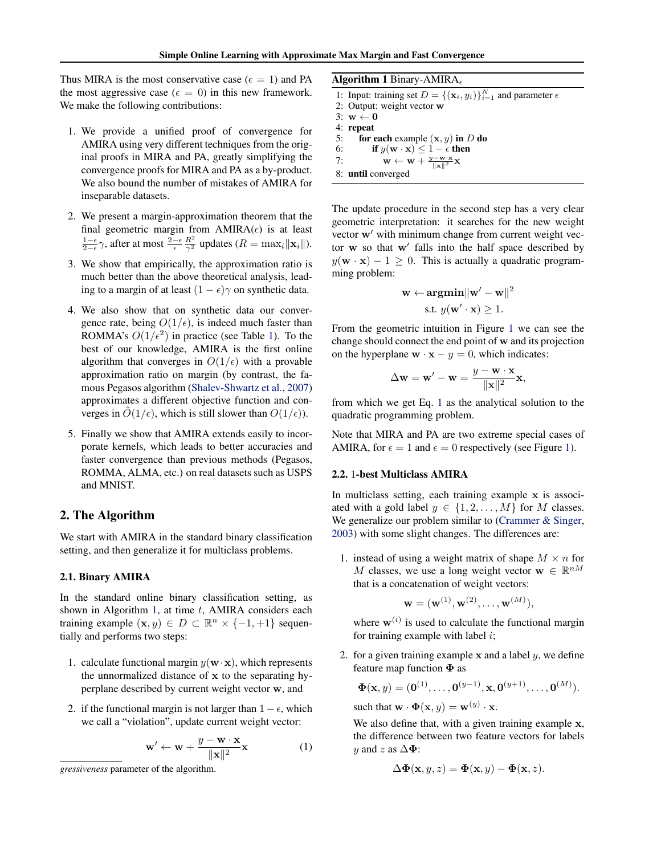<span id="page-1-0"></span>Thus MIRA is the most conservative case ( $\epsilon = 1$ ) and PA the most aggressive case ( $\epsilon = 0$ ) in this new framework. We make the following contributions:

- 1. We provide a unified proof of convergence for AMIRA using very different techniques from the original proofs in MIRA and PA, greatly simplifying the convergence proofs for MIRA and PA as a by-product. We also bound the number of mistakes of AMIRA for inseparable datasets.
- 2. We present a margin-approximation theorem that the final geometric margin from  $AMIRA(\epsilon)$  is at least  $\frac{1-\epsilon}{2-\epsilon}\gamma$ , after at most  $\frac{2-\epsilon}{\epsilon} \frac{R^2}{\gamma^2}$  updates ( $R = \max_i ||\mathbf{x}_i||$ ).
- 3. We show that empirically, the approximation ratio is much better than the above theoretical analysis, leading to a margin of at least  $(1 - \epsilon)\gamma$  on synthetic data.
- 4. We also show that on synthetic data our convergence rate, being  $O(1/\epsilon)$ , is indeed much faster than ROMMA's  $O(1/\epsilon^2)$  in practice (see Table [1\)](#page-0-0). To the best of our knowledge, AMIRA is the first online algorithm that converges in  $O(1/\epsilon)$  with a provable approximation ratio on margin (by contrast, the famous Pegasos algorithm [\(Shalev-Shwartz et al.,](#page-8-0) [2007\)](#page-8-0) approximates a different objective function and converges in  $O(1/\epsilon)$ , which is still slower than  $O(1/\epsilon)$ ).
- 5. Finally we show that AMIRA extends easily to incorporate kernels, which leads to better accuracies and faster convergence than previous methods (Pegasos, ROMMA, ALMA, etc.) on real datasets such as USPS and MNIST.

# 2. The Algorithm

We start with AMIRA in the standard binary classification setting, and then generalize it for multiclass problems.

# 2.1. Binary AMIRA

In the standard online binary classification setting, as shown in Algorithm 1, at time  $t$ , AMIRA considers each training example  $(\mathbf{x}, y) \in D \subset \mathbb{R}^n \times \{-1, +1\}$  sequentially and performs two steps:

- 1. calculate functional margin  $y(\mathbf{w} \cdot \mathbf{x})$ , which represents the unnormalized distance of x to the separating hyperplane described by current weight vector w, and
- 2. if the functional margin is not larger than  $1 \epsilon$ , which we call a "violation", update current weight vector:

$$
\mathbf{w}' \leftarrow \mathbf{w} + \frac{y - \mathbf{w} \cdot \mathbf{x}}{\|\mathbf{x}\|^2} \mathbf{x}
$$
 (1)

Algorithm 1 Binary-AMIRA

- 1: Input: training set  $D = \{(\mathbf{x}_i, y_i)\}_{i=1}^N$  and parameter  $\epsilon$
- 2: Output: weight vector w
- 3:  $w \leftarrow 0$
- 4: repeat
- 5: for each example  $(x, y)$  in D do
- 6: if  $y(\mathbf{w} \cdot \mathbf{x}) \leq 1 \epsilon$  then 7:  $\mathbf{w} \leftarrow \mathbf{w} + \frac{y - \mathbf{w} \cdot \mathbf{x}}{\|\mathbf{x}\|^2} \mathbf{x}$
- 
- 8: until converged

The update procedure in the second step has a very clear geometric interpretation: it searches for the new weight vector  $w'$  with minimum change from current weight vector  $w$  so that  $w'$  falls into the half space described by  $y(\mathbf{w} \cdot \mathbf{x}) - 1 \geq 0$ . This is actually a quadratic programming problem:

$$
\mathbf{w} \leftarrow \underset{\mathbf{s}.\mathbf{t}}{\mathop{\mathrm{argmin}}}\|\mathbf{w}' - \mathbf{w}\|^2
$$
  
s.t.  $y(\mathbf{w}' \cdot \mathbf{x}) \ge 1$ .

From the geometric intuition in Figure [1](#page-2-0) we can see the change should connect the end point of w and its projection on the hyperplane  $\mathbf{w} \cdot \mathbf{x} - y = 0$ , which indicates:

$$
\Delta \mathbf{w} = \mathbf{w}' - \mathbf{w} = \frac{y - \mathbf{w} \cdot \mathbf{x}}{\|\mathbf{x}\|^2} \mathbf{x},
$$

from which we get Eq. 1 as the analytical solution to the quadratic programming problem.

Note that MIRA and PA are two extreme special cases of AMIRA, for  $\epsilon = 1$  and  $\epsilon = 0$  respectively (see Figure [1\)](#page-2-0).

#### 2.2. 1-best Multiclass AMIRA

In multiclass setting, each training example x is associated with a gold label  $y \in \{1, 2, ..., M\}$  for M classes. We generalize our problem similar to [\(Crammer & Singer,](#page-8-0) [2003\)](#page-8-0) with some slight changes. The differences are:

1. instead of using a weight matrix of shape  $M \times n$  for M classes, we use a long weight vector  $\mathbf{w} \in \mathbb{R}^{nM}$ that is a concatenation of weight vectors:

$$
\mathbf{w} = (\mathbf{w}^{(1)}, \mathbf{w}^{(2)}, \ldots, \mathbf{w}^{(M)}),
$$

where  $\mathbf{w}^{(i)}$  is used to calculate the functional margin for training example with label  $i$ ;

2. for a given training example  $x$  and a label  $y$ , we define feature map function  $\Phi$  as

$$
\mathbf{\Phi}(\mathbf{x}, y) = (\mathbf{0}^{(1)}, \dots, \mathbf{0}^{(y-1)}, \mathbf{x}, \mathbf{0}^{(y+1)}, \dots, \mathbf{0}^{(M)}).
$$

such that  $\mathbf{w} \cdot \mathbf{\Phi}(\mathbf{x}, y) = \mathbf{w}^{(y)} \cdot \mathbf{x}$ .

We also define that, with a given training example x, the difference between two feature vectors for labels y and z as  $\Delta \Phi$ :

$$
\Delta \Phi(\mathbf{x}, y, z) = \Phi(\mathbf{x}, y) - \Phi(\mathbf{x}, z).
$$

*gressiveness* parameter of the algorithm.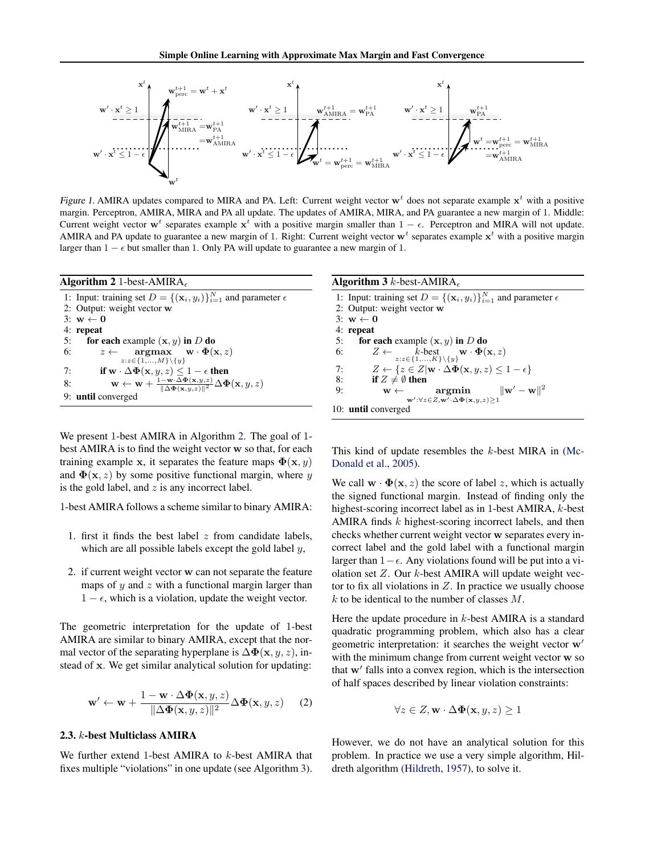<span id="page-2-0"></span>

Figure 1. AMIRA updates compared to MIRA and PA. Left: Current weight vector  $w<sup>t</sup>$  does not separate example  $x<sup>t</sup>$  with a positive margin. Perceptron, AMIRA, MIRA and PA all update. The updates of AMIRA, MIRA, and PA guarantee a new margin of 1. Middle: Current weight vector  $w^t$  separates example  $x^t$  with a positive margin smaller than  $1 - \epsilon$ . Perceptron and MIRA will not update. AMIRA and PA update to guarantee a new margin of 1. Right: Current weight vector  $w^t$  separates example  $x^t$  with a positive margin larger than  $1 - \epsilon$  but smaller than 1. Only PA will update to guarantee a new margin of 1.

| Algorithm 2 1-best-AMIRA                                                                                                                                                                           |
|----------------------------------------------------------------------------------------------------------------------------------------------------------------------------------------------------|
| 1: Input: training set $D = \{(\mathbf{x}_i, y_i)\}_{i=1}^N$ and parameter $\epsilon$                                                                                                              |
| 2: Output: weight vector w                                                                                                                                                                         |
| $3: \mathbf{w} \leftarrow \mathbf{0}$                                                                                                                                                              |
| 4: repeat                                                                                                                                                                                          |
| for each example $(x, y)$ in D do<br>5:                                                                                                                                                            |
| $z \leftarrow \quad \text{argmax} \quad \textbf{w} \cdot \Phi(\textbf{x}, z)$<br>6:                                                                                                                |
| $z:z \in \{1,,M\} \setminus \{y\}$                                                                                                                                                                 |
| if $\mathbf{w} \cdot \Delta \Phi(\mathbf{x}, y, z) \leq 1 - \epsilon$ then<br>7:                                                                                                                   |
| $\mathbf{w} \leftarrow \mathbf{w} + \frac{1 - \mathbf{w} \cdot \Delta \mathbf{\Phi}(\mathbf{x}, y, z)}{\ \Delta \mathbf{\Phi}(\mathbf{x}, y, z)\ ^2} \Delta \mathbf{\Phi}(\mathbf{x}, y, z)$<br>8: |
| 9: <b>until</b> converged                                                                                                                                                                          |

We present 1-best AMIRA in Algorithm 2. The goal of 1 best AMIRA is to find the weight vector w so that, for each training example x, it separates the feature maps  $\Phi(\mathbf{x}, y)$ and  $\Phi(\mathbf{x}, z)$  by some positive functional margin, where y is the gold label, and  $z$  is any incorrect label.

1-best AMIRA follows a scheme similar to binary AMIRA:

- 1. first it finds the best label  $z$  from candidate labels, which are all possible labels except the gold label  $y$ ,
- 2. if current weight vector w can not separate the feature maps of  $y$  and  $z$  with a functional margin larger than  $1 - \epsilon$ , which is a violation, update the weight vector.

The geometric interpretation for the update of 1-best AMIRA are similar to binary AMIRA, except that the normal vector of the separating hyperplane is  $\Delta \Phi(\mathbf{x}, y, z)$ , instead of x. We get similar analytical solution for updating:

$$
\mathbf{w}' \leftarrow \mathbf{w} + \frac{1 - \mathbf{w} \cdot \Delta \Phi(\mathbf{x}, y, z)}{\|\Delta \Phi(\mathbf{x}, y, z)\|^2} \Delta \Phi(\mathbf{x}, y, z) \tag{2}
$$

# 2.3. k-best Multiclass AMIRA

We further extend 1-best AMIRA to k-best AMIRA that fixes multiple "violations" in one update (see Algorithm 3).

| <b>Algorithm 3</b> k-best-AMIRA                                                                               |  |  |  |  |  |
|---------------------------------------------------------------------------------------------------------------|--|--|--|--|--|
| 1: Input: training set $D = \{(\mathbf{x}_i, y_i)\}_{i=1}^N$ and parameter $\epsilon$                         |  |  |  |  |  |
| 2: Output: weight vector w                                                                                    |  |  |  |  |  |
| $3: \mathbf{w} \leftarrow \mathbf{0}$                                                                         |  |  |  |  |  |
| 4: repeat                                                                                                     |  |  |  |  |  |
| for each example $(x, y)$ in D do<br>5:                                                                       |  |  |  |  |  |
| $Z \leftarrow k$ -best $\mathbf{w} \cdot \mathbf{\Phi}(\mathbf{x}, z)$<br>6:                                  |  |  |  |  |  |
| $z:z \in \{1,,K\} \setminus \{y\}$                                                                            |  |  |  |  |  |
| $Z \leftarrow \{z \in Z   \mathbf{w} \cdot \Delta \mathbf{\Phi}(\mathbf{x}, y, z) \leq 1 - \epsilon\}$<br>7:  |  |  |  |  |  |
| if $Z \neq \emptyset$ then<br>8:                                                                              |  |  |  |  |  |
| $\mathbf{w} \leftarrow \begin{array}{ccc} \mathbf{argmin} & \ \mathbf{w}' - \mathbf{w}\ ^2 \end{array}$<br>9: |  |  |  |  |  |
| $\mathbf{w}': \forall z \in Z, \mathbf{w}' \cdot \Delta \mathbf{\Phi}(\mathbf{x},y,z) \geq 1$                 |  |  |  |  |  |
| 10: <b>until</b> converged                                                                                    |  |  |  |  |  |

This kind of update resembles the  $k$ -best MIRA in [\(Mc-](#page-8-0)[Donald et al.,](#page-8-0) [2005\)](#page-8-0).

We call  $\mathbf{w} \cdot \mathbf{\Phi}(\mathbf{x}, z)$  the score of label z, which is actually the signed functional margin. Instead of finding only the highest-scoring incorrect label as in 1-best AMIRA, k-best AMIRA finds  $k$  highest-scoring incorrect labels, and then checks whether current weight vector w separates every incorrect label and the gold label with a functional margin larger than  $1-\epsilon$ . Any violations found will be put into a violation set  $Z$ . Our  $k$ -best AMIRA will update weight vector to fix all violations in  $Z$ . In practice we usually choose  $k$  to be identical to the number of classes  $M$ .

Here the update procedure in  $k$ -best AMIRA is a standard quadratic programming problem, which also has a clear geometric interpretation: it searches the weight vector  $w'$ with the minimum change from current weight vector w so that w' falls into a convex region, which is the intersection of half spaces described by linear violation constraints:

$$
\forall z \in Z, \mathbf{w} \cdot \Delta \mathbf{\Phi}(\mathbf{x}, y, z) \ge 1
$$

However, we do not have an analytical solution for this problem. In practice we use a very simple algorithm, Hildreth algorithm [\(Hildreth,](#page-8-0) [1957\)](#page-8-0), to solve it.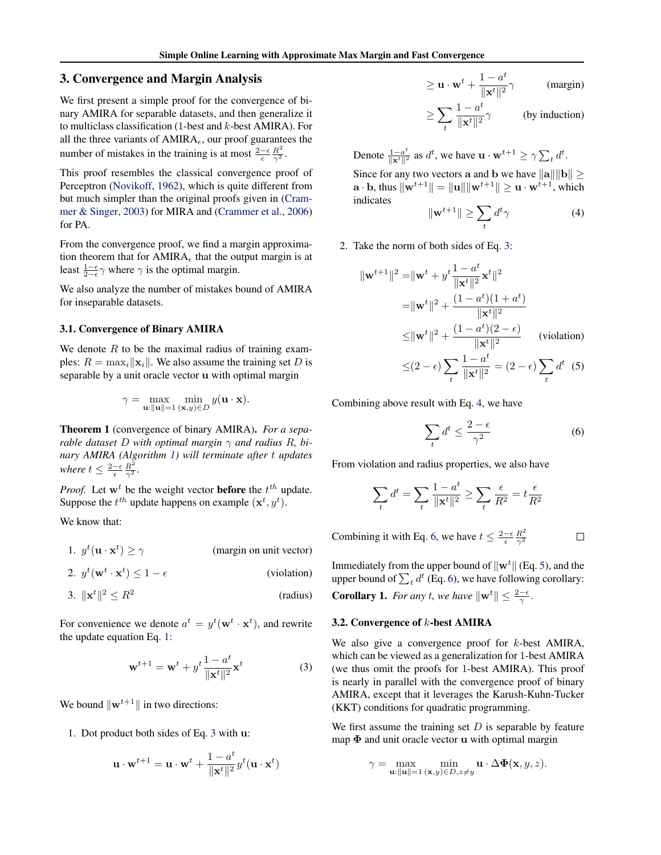# <span id="page-3-0"></span>3. Convergence and Margin Analysis

We first present a simple proof for the convergence of binary AMIRA for separable datasets, and then generalize it to multiclass classification (1-best and  $k$ -best AMIRA). For all the three variants of  $AMIRA<sub>\epsilon</sub>$ , our proof guarantees the number of mistakes in the training is at most  $\frac{2-\epsilon}{\epsilon} \frac{R^2}{\gamma^2}$ .

This proof resembles the classical convergence proof of Perceptron [\(Novikoff,](#page-8-0) [1962\)](#page-8-0), which is quite different from but much simpler than the original proofs given in [\(Cram](#page-8-0)[mer & Singer,](#page-8-0) [2003\)](#page-8-0) for MIRA and [\(Crammer et al.,](#page-8-0) [2006\)](#page-8-0) for PA.

From the convergence proof, we find a margin approximation theorem that for  $AMIRA_{\epsilon}$  that the output margin is at least  $\frac{1-\epsilon}{2-\epsilon}\gamma$  where  $\gamma$  is the optimal margin.

We also analyze the number of mistakes bound of AMIRA for inseparable datasets.

### 3.1. Convergence of Binary AMIRA

We denote  $R$  to be the maximal radius of training examples:  $R = \max_i ||\mathbf{x}_i||$ . We also assume the training set D is separable by a unit oracle vector u with optimal margin

$$
\gamma = \max_{\mathbf{u}: \|\mathbf{u}\|=1} \min_{(\mathbf{x}, y)\in D} y(\mathbf{u} \cdot \mathbf{x}).
$$

Theorem 1 (convergence of binary AMIRA). *For a separable dataset* D with optimal margin  $\gamma$  and radius R, bi*nary AMIRA (Algorithm [1\)](#page-1-0) will terminate after* t *updates where*  $t \leq \frac{2-\epsilon}{\epsilon} \frac{R^2}{\gamma^2}$ *.* 

*Proof.* Let  $w^t$  be the weight vector **before** the  $t^{th}$  update. Suppose the  $t^{th}$  update happens on example  $(\mathbf{x}^t, y^t)$ .

We know that:

1. 
$$
y^t(\mathbf{u} \cdot \mathbf{x}^t) \ge \gamma
$$
 (margin on unit vector)

2. 
$$
y^t(\mathbf{w}^t \cdot \mathbf{x}^t) \le 1 - \epsilon
$$
 (violation)

$$
3. \ \|\mathbf{x}^t\|^2 \le R^2 \tag{radius}
$$

For convenience we denote  $a^t = y^t(\mathbf{w}^t \cdot \mathbf{x}^t)$ , and rewrite the update equation Eq. [1:](#page-1-0)

$$
\mathbf{w}^{t+1} = \mathbf{w}^t + y^t \frac{1 - a^t}{\|\mathbf{x}^t\|^2} \mathbf{x}^t
$$
 (3)

We bound  $\|\mathbf{w}^{t+1}\|$  in two directions:

1. Dot product both sides of Eq. 3 with u:

$$
\mathbf{u} \cdot \mathbf{w}^{t+1} = \mathbf{u} \cdot \mathbf{w}^t + \frac{1 - a^t}{\|\mathbf{x}^t\|^2} y^t (\mathbf{u} \cdot \mathbf{x}^t)
$$

$$
\geq \mathbf{u} \cdot \mathbf{w}^t + \frac{1 - a^t}{\|\mathbf{x}^t\|^2} \gamma \quad \text{(margin)}
$$

$$
\geq \sum_{t} \frac{1 - a^{t}}{\|\mathbf{x}^{t}\|^2} \gamma
$$
 (by induction)

Denote  $\frac{1-a^t}{\|x^t\|^2}$  as  $d^t$ , we have  $\mathbf{u} \cdot \mathbf{w}^{t+1} \ge \gamma \sum_t d^t$ .

Since for any two vectors a and b we have  $\|\mathbf{a}\| \|\mathbf{b}\| \geq$  $\mathbf{a} \cdot \mathbf{b}$ , thus  $\|\mathbf{w}^{t+1}\| = \|\mathbf{u}\| \|\mathbf{w}^{t+1}\| \geq \mathbf{u} \cdot \mathbf{w}^{t+1}$ , which indicates

$$
\|\mathbf{w}^{t+1}\| \ge \sum_{t} d^t \gamma \tag{4}
$$

2. Take the norm of both sides of Eq. 3:

$$
\|\mathbf{w}^{t+1}\|^2 = \|\mathbf{w}^t + y^t \frac{1 - a^t}{\|\mathbf{x}^t\|^2} \mathbf{x}^t\|^2
$$
  
\n
$$
= \|\mathbf{w}^t\|^2 + \frac{(1 - a^t)(1 + a^t)}{\|\mathbf{x}^t\|^2}
$$
  
\n
$$
\leq \|\mathbf{w}^t\|^2 + \frac{(1 - a^t)(2 - \epsilon)}{\|\mathbf{x}^t\|^2} \qquad \text{(violation)}
$$
  
\n
$$
\leq (2 - \epsilon) \sum_t \frac{1 - a^t}{\|\mathbf{x}^t\|^2} = (2 - \epsilon) \sum_t d^t \qquad (5)
$$

Combining above result with Eq. 4, we have

$$
\sum_{t} d^{t} \le \frac{2 - \epsilon}{\gamma^2} \tag{6}
$$

 $\Box$ 

From violation and radius properties, we also have

$$
\sum_{t} d^{t} = \sum_{t} \frac{1 - a^{t}}{\|\mathbf{x}^{t}\|^{2}} \ge \sum_{t} \frac{\epsilon}{R^{2}} = t \frac{\epsilon}{R^{2}}
$$

Combining it with Eq. 6, we have  $t \leq \frac{2-\epsilon}{\epsilon} \frac{R^2}{\gamma^2}$  $\overline{\gamma^2}$ 

Immediately from the upper bound of  $\|\mathbf{w}^t\|$  (Eq. 5), and the upper bound of  $\sum_t d^t$  (Eq. 6), we have following corollary: **Corollary 1.** For any t, we have  $\|\mathbf{w}^t\| \leq \frac{2-\epsilon}{\gamma}$ .

### 3.2. Convergence of k-best AMIRA

We also give a convergence proof for  $k$ -best AMIRA, which can be viewed as a generalization for 1-best AMIRA (we thus omit the proofs for 1-best AMIRA). This proof is nearly in parallel with the convergence proof of binary AMIRA, except that it leverages the Karush-Kuhn-Tucker (KKT) conditions for quadratic programming.

We first assume the training set  $D$  is separable by feature map  $\Phi$  and unit oracle vector u with optimal margin

$$
\gamma = \max_{\mathbf{u}: \|\mathbf{u}\|=1} \min_{(\mathbf{x},y)\in D, z\neq y} \mathbf{u} \cdot \Delta \Phi(\mathbf{x},y,z).
$$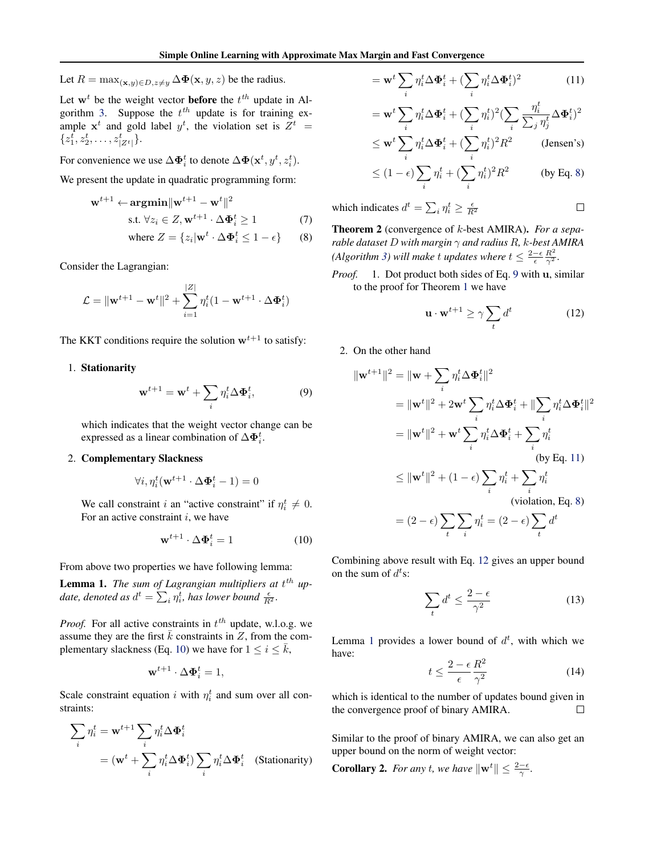<span id="page-4-0"></span>Let  $R = \max_{(\mathbf{x}, y) \in D, z \neq y} \Delta \Phi(\mathbf{x}, y, z)$  be the radius.

Let  $w<sup>t</sup>$  be the weight vector **before** the  $t<sup>th</sup>$  update in Al-gorithm [3.](#page-2-0) Suppose the  $t^{th}$  update is for training example  $x^t$  and gold label  $y^t$ , the violation set is  $Z^t$  =  $\{z_1^t, z_2^t, \ldots, z_{|Z^t|}^t\}.$ 

For convenience we use  $\Delta \mathbf{\Phi}_i^t$  to denote  $\Delta \mathbf{\Phi}(\mathbf{x}^t, y^t, z_i^t)$ .

We present the update in quadratic programming form:

$$
\mathbf{w}^{t+1} \leftarrow \operatorname{argmin} \|\mathbf{w}^{t+1} - \mathbf{w}^t\|^2
$$
  
s.t.  $\forall z_i \in Z, \mathbf{w}^{t+1} \cdot \Delta \mathbf{\Phi}_i^t \ge 1$  (7)

where 
$$
Z = \{z_i | \mathbf{w}^t \cdot \Delta \mathbf{\Phi}_i^t \le 1 - \epsilon\}
$$
 (8)

Consider the Lagrangian:

$$
\mathcal{L} = \|\mathbf{w}^{t+1} - \mathbf{w}^t\|^2 + \sum_{i=1}^{|Z|} \eta_i^t (1 - \mathbf{w}^{t+1} \cdot \Delta \mathbf{\Phi}_i^t)
$$

The KKT conditions require the solution  $w^{t+1}$  to satisfy:

# 1. Stationarity

$$
\mathbf{w}^{t+1} = \mathbf{w}^t + \sum_i \eta_i^t \Delta \Phi_i^t, \tag{9}
$$

which indicates that the weight vector change can be expressed as a linear combination of  $\Delta \mathbf{\Phi}_i^t$ .

# 2. Complementary Slackness

$$
\forall i, \eta_i^t(\mathbf{w}^{t+1} \cdot \Delta \mathbf{\Phi}_i^t - 1) = 0
$$

We call constraint *i* an "active constraint" if  $\eta_i^t \neq 0$ . For an active constraint  $i$ , we have

$$
\mathbf{w}^{t+1} \cdot \Delta \mathbf{\Phi}_i^t = 1 \tag{10}
$$

From above two properties we have following lemma:

**Lemma 1.** The sum of Lagrangian multipliers at t<sup>th</sup> up*date, denoted as*  $d^t = \sum_i \eta_i^t$ *, has lower bound*  $\frac{\epsilon}{R^2}$ *.* 

*Proof.* For all active constraints in  $t^{th}$  update, w.l.o.g. we assume they are the first  $\bar{k}$  constraints in Z, from the complementary slackness (Eq. 10) we have for  $1 \le i \le \bar{k}$ ,

$$
\mathbf{w}^{t+1} \cdot \Delta \mathbf{\Phi}_i^t = 1,
$$

Scale constraint equation i with  $\eta_i^t$  and sum over all constraints:

$$
\sum_{i} \eta_i^t = \mathbf{w}^{t+1} \sum_{i} \eta_i^t \Delta \Phi_i^t
$$

$$
= (\mathbf{w}^t + \sum_{i} \eta_i^t \Delta \Phi_i^t) \sum_{i} \eta_i^t \Delta \Phi_i^t \quad \text{(Stationarity)}
$$

$$
= \mathbf{w}^t \sum_i \eta_i^t \Delta \Phi_i^t + (\sum_i \eta_i^t \Delta \Phi_i^t)^2 \tag{11}
$$

$$
= \mathbf{w}^t \sum_i \eta_i^t \Delta \mathbf{\Phi}_i^t + (\sum_i \eta_i^t)^2 (\sum_i \frac{\eta_i^t}{\sum_j \eta_j^t} \Delta \mathbf{\Phi}_i^t)^2
$$

$$
\leq \mathbf{w}^t \sum_i \eta_i^t \Delta \mathbf{\Phi}_i^t + (\sum_i \eta_i^t)^2 R^2
$$
 (Jensen's)

$$
\leq (1 - \epsilon) \sum_{i} \eta_i^t + (\sum_{i} \eta_i^t)^2 R^2
$$
 (by Eq. 8)

which indicates  $d^t = \sum_i \eta_i^t \ge \frac{\epsilon}{R^2}$ 

Theorem 2 (convergence of k-best AMIRA). *For a separable dataset* D *with margin* γ *and radius* R*,* k*-best AMIRA (Algorithm [3\)](#page-2-0)* will make t updates where  $t \leq \frac{2-\epsilon}{\epsilon} \frac{R^2}{\gamma^2}$ .

*Proof.* 1. Dot product both sides of Eq. 9 with u, similar to the proof for Theorem [1](#page-3-0) we have

$$
\mathbf{u} \cdot \mathbf{w}^{t+1} \ge \gamma \sum_{t} d^t \tag{12}
$$

 $\Box$ 

2. On the other hand

$$
\|\mathbf{w}^{t+1}\|^2 = \|\mathbf{w} + \sum_{i} \eta_i^t \Delta \Phi_i^t\|^2
$$
  
\n
$$
= \|\mathbf{w}^t\|^2 + 2\mathbf{w}^t \sum_{i} \eta_i^t \Delta \Phi_i^t + \|\sum_{i} \eta_i^t \Delta \Phi_i^t\|^2
$$
  
\n
$$
= \|\mathbf{w}^t\|^2 + \mathbf{w}^t \sum_{i} \eta_i^t \Delta \Phi_i^t + \sum_{i} \eta_i^t
$$
  
\n(by Eq. 11)  
\n
$$
\leq \|\mathbf{w}^t\|^2 + (1 - \epsilon) \sum_{i} \eta_i^t + \sum_{i} \eta_i^t
$$
  
\n(violation, Eq. 8)  
\n
$$
= (2 - \epsilon) \sum_{i} \sum_{i} \eta_i^t = (2 - \epsilon) \sum_{i} d^t
$$

Combining above result with Eq. 12 gives an upper bound on the sum of  $d^t$ s:

i

t

$$
\sum_{t} d^{t} \le \frac{2 - \epsilon}{\gamma^2} \tag{13}
$$

t

Lemma 1 provides a lower bound of  $d^t$ , with which we have:

$$
t \le \frac{2 - \epsilon}{\epsilon} \frac{R^2}{\gamma^2} \tag{14}
$$

which is identical to the number of updates bound given in the convergence proof of binary AMIRA.  $\Box$ 

Similar to the proof of binary AMIRA, we can also get an upper bound on the norm of weight vector:

**Corollary 2.** For any t, we have  $\|\mathbf{w}^t\| \leq \frac{2-\epsilon}{\gamma}$ .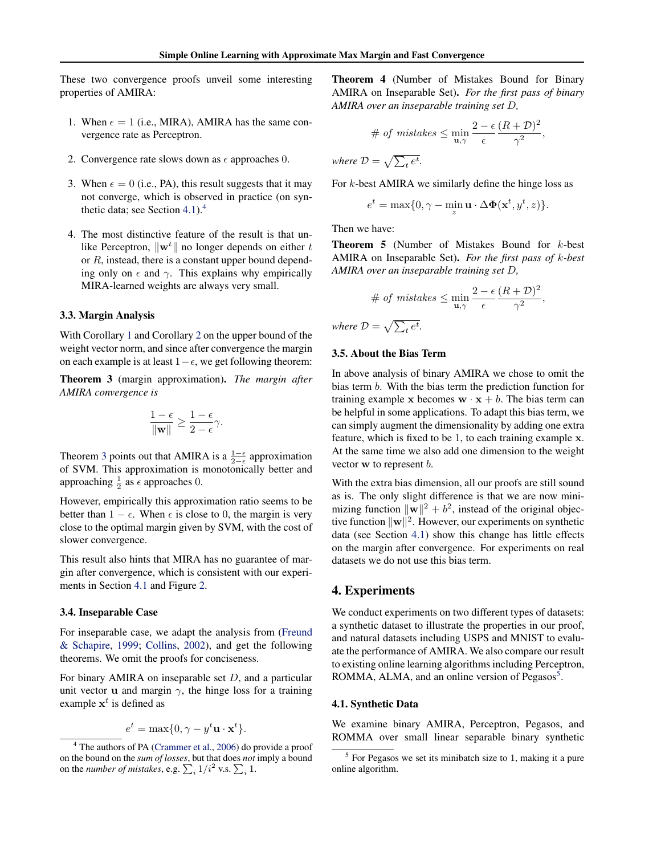<span id="page-5-0"></span>These two convergence proofs unveil some interesting properties of AMIRA:

- 1. When  $\epsilon = 1$  (i.e., MIRA), AMIRA has the same convergence rate as Perceptron.
- 2. Convergence rate slows down as  $\epsilon$  approaches 0.
- 3. When  $\epsilon = 0$  (i.e., PA), this result suggests that it may not converge, which is observed in practice (on synthetic data; see Section 4.1).<sup>4</sup>
- 4. The most distinctive feature of the result is that unlike Perceptron,  $\|\mathbf{w}^t\|$  no longer depends on either t or  $R$ , instead, there is a constant upper bound depending only on  $\epsilon$  and  $\gamma$ . This explains why empirically MIRA-learned weights are always very small.

#### 3.3. Margin Analysis

With Corollary [1](#page-3-0) and Corollary [2](#page-4-0) on the upper bound of the weight vector norm, and since after convergence the margin on each example is at least  $1-\epsilon$ , we get following theorem:

Theorem 3 (margin approximation). *The margin after AMIRA convergence is*

$$
\frac{1-\epsilon}{\|\mathbf{w}\|} \ge \frac{1-\epsilon}{2-\epsilon}\gamma.
$$

Theorem 3 points out that AMIRA is a  $\frac{1-\epsilon}{2-\epsilon}$  approximation of SVM. This approximation is monotonically better and approaching  $\frac{1}{2}$  as  $\epsilon$  approaches 0.

However, empirically this approximation ratio seems to be better than  $1 - \epsilon$ . When  $\epsilon$  is close to 0, the margin is very close to the optimal margin given by SVM, with the cost of slower convergence.

This result also hints that MIRA has no guarantee of margin after convergence, which is consistent with our experiments in Section 4.1 and Figure [2.](#page-6-0)

### 3.4. Inseparable Case

For inseparable case, we adapt the analysis from [\(Freund](#page-8-0) [& Schapire,](#page-8-0) [1999;](#page-8-0) [Collins,](#page-8-0) [2002\)](#page-8-0), and get the following theorems. We omit the proofs for conciseness.

For binary AMIRA on inseparable set  $D$ , and a particular unit vector **u** and margin  $\gamma$ , the hinge loss for a training example  $x^t$  is defined as

$$
e^t = \max\{0, \gamma - y^t \mathbf{u} \cdot \mathbf{x}^t\}.
$$

Theorem 4 (Number of Mistakes Bound for Binary AMIRA on Inseparable Set). *For the first pass of binary AMIRA over an inseparable training set* D*,*

# of mistakes 
$$
\leq \min_{\mathbf{u}, \gamma} \frac{2 - \epsilon}{\epsilon} \frac{(R + \mathcal{D})^2}{\gamma^2}
$$
,

where  $\mathcal{D} = \sqrt{\sum_t e^t}$ .

For  $k$ -best AMIRA we similarly define the hinge loss as

$$
e^t = \max\{0, \gamma - \min_{z} \mathbf{u} \cdot \Delta \mathbf{\Phi}(\mathbf{x}^t, y^t, z)\}.
$$

Then we have:

Theorem 5 (Number of Mistakes Bound for k-best AMIRA on Inseparable Set). *For the first pass of* k*-best AMIRA over an inseparable training set* D*,*

$$
\# \text{ of mistakes } \leq \min_{\mathbf{u}, \gamma} \frac{2 - \epsilon}{\epsilon} \frac{(R + \mathcal{D})^2}{\gamma^2},
$$
\n
$$
\text{where } \mathcal{D} = \sqrt{\sum_t e^t}.
$$

# 3.5. About the Bias Term

In above analysis of binary AMIRA we chose to omit the bias term b. With the bias term the prediction function for training example x becomes  $\mathbf{w} \cdot \mathbf{x} + b$ . The bias term can be helpful in some applications. To adapt this bias term, we can simply augment the dimensionality by adding one extra feature, which is fixed to be 1, to each training example x. At the same time we also add one dimension to the weight vector w to represent b.

With the extra bias dimension, all our proofs are still sound as is. The only slight difference is that we are now minimizing function  $\|\mathbf{w}\|^2 + b^2$ , instead of the original objective function  $\|\mathbf{w}\|^2$ . However, our experiments on synthetic data (see Section 4.1) show this change has little effects on the margin after convergence. For experiments on real datasets we do not use this bias term.

# 4. Experiments

We conduct experiments on two different types of datasets: a synthetic dataset to illustrate the properties in our proof, and natural datasets including USPS and MNIST to evaluate the performance of AMIRA. We also compare our result to existing online learning algorithms including Perceptron, ROMMA, ALMA, and an online version of Pegasos<sup>5</sup>.

#### 4.1. Synthetic Data

We examine binary AMIRA, Perceptron, Pegasos, and ROMMA over small linear separable binary synthetic

<sup>4</sup> The authors of PA [\(Crammer et al.,](#page-8-0) [2006\)](#page-8-0) do provide a proof on the bound on the *sum of losses*, but that does *not* imply a bound on the *number of mistakes*, e.g.  $\sum_i 1/i^2$  v.s.  $\sum_i 1$ .

<sup>&</sup>lt;sup>5</sup> For Pegasos we set its minibatch size to 1, making it a pure online algorithm.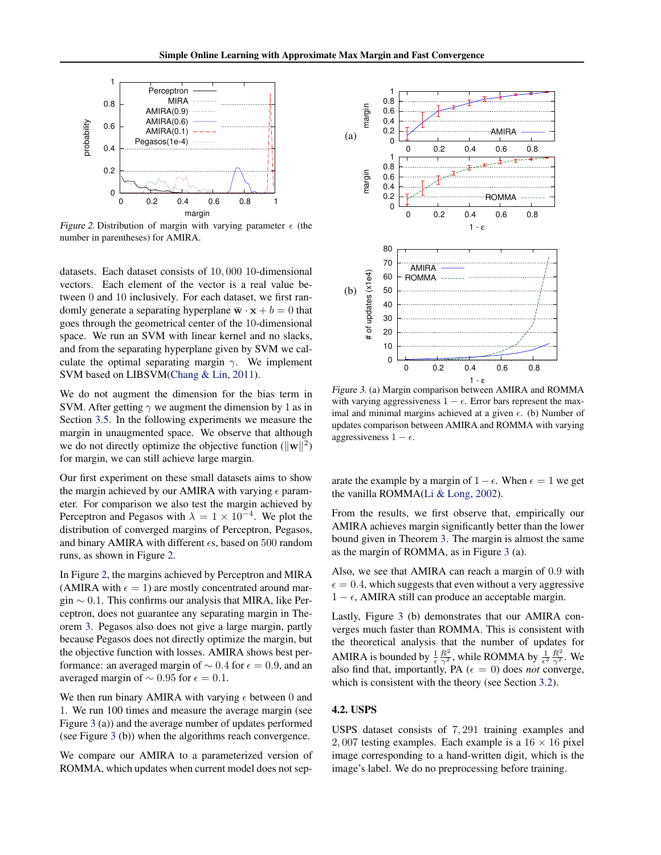<span id="page-6-0"></span>

Figure 2. Distribution of margin with varying parameter  $\epsilon$  (the number in parentheses) for AMIRA.

datasets. Each dataset consists of 10, 000 10-dimensional vectors. Each element of the vector is a real value between 0 and 10 inclusively. For each dataset, we first randomly generate a separating hyperplane  $\bar{\mathbf{w}} \cdot \mathbf{x} + b = 0$  that goes through the geometrical center of the 10-dimensional space. We run an SVM with linear kernel and no slacks, and from the separating hyperplane given by SVM we calculate the optimal separating margin  $\gamma$ . We implement SVM based on LIBSVM[\(Chang & Lin,](#page-8-0) [2011\)](#page-8-0).

We do not augment the dimension for the bias term in SVM. After getting  $\gamma$  we augment the dimension by 1 as in Section [3.5.](#page-5-0) In the following experiments we measure the margin in unaugmented space. We observe that although we do not directly optimize the objective function  $(\|\mathbf{w}\|^2)$ for margin, we can still achieve large margin.

Our first experiment on these small datasets aims to show the margin achieved by our AMIRA with varying  $\epsilon$  parameter. For comparison we also test the margin achieved by Perceptron and Pegasos with  $\lambda = 1 \times 10^{-4}$ . We plot the distribution of converged margins of Perceptron, Pegasos, and binary AMIRA with different  $\epsilon$ s, based on 500 random runs, as shown in Figure 2.

In Figure 2, the margins achieved by Perceptron and MIRA (AMIRA with  $\epsilon = 1$ ) are mostly concentrated around margin  $\sim$  0.1. This confirms our analysis that MIRA, like Perceptron, does not guarantee any separating margin in Theorem [3.](#page-5-0) Pegasos also does not give a large margin, partly because Pegasos does not directly optimize the margin, but the objective function with losses. AMIRA shows best performance: an averaged margin of  $\sim 0.4$  for  $\epsilon = 0.9$ , and an averaged margin of  $\sim 0.95$  for  $\epsilon = 0.1$ .

We then run binary AMIRA with varying  $\epsilon$  between 0 and 1. We run 100 times and measure the average margin (see Figure 3 (a)) and the average number of updates performed (see Figure 3 (b)) when the algorithms reach convergence.

We compare our AMIRA to a parameterized version of ROMMA, which updates when current model does not sep-



Figure 3. (a) Margin comparison between AMIRA and ROMMA with varying aggressiveness  $1 - \epsilon$ . Error bars represent the maximal and minimal margins achieved at a given  $\epsilon$ . (b) Number of updates comparison between AMIRA and ROMMA with varying aggressiveness  $1 - \epsilon$ .

arate the example by a margin of  $1 - \epsilon$ . When  $\epsilon = 1$  we get the vanilla ROMMA[\(Li & Long,](#page-8-0) [2002\)](#page-8-0).

From the results, we first observe that, empirically our AMIRA achieves margin significantly better than the lower bound given in Theorem [3.](#page-5-0) The margin is almost the same as the margin of ROMMA, as in Figure 3 (a).

Also, we see that AMIRA can reach a margin of 0.9 with  $\epsilon = 0.4$ , which suggests that even without a very aggressive  $1 - \epsilon$ , AMIRA still can produce an acceptable margin.

Lastly, Figure 3 (b) demonstrates that our AMIRA converges much faster than ROMMA. This is consistent with the theoretical analysis that the number of updates for AMIRA is bounded by  $\frac{1}{\epsilon} \frac{R^2}{\gamma^2}$ , while ROMMA by  $\frac{1}{\epsilon^2} \frac{R^2}{\gamma^2}$ . We also find that, importantly, PA  $(\epsilon = 0)$  does *not* converge, which is consistent with the theory (see Section [3.2\)](#page-3-0).

# 4.2. USPS

USPS dataset consists of 7, 291 training examples and 2, 007 testing examples. Each example is a  $16 \times 16$  pixel image corresponding to a hand-written digit, which is the image's label. We do no preprocessing before training.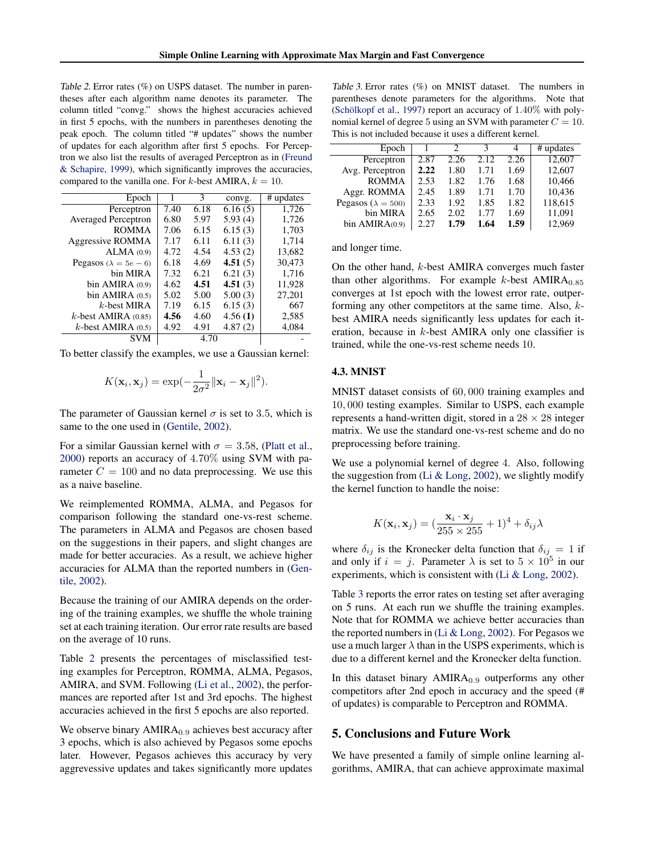Table 2. Error rates (%) on USPS dataset. The number in parentheses after each algorithm name denotes its parameter. The column titled "convg." shows the highest accuracies achieved in first 5 epochs, with the numbers in parentheses denoting the peak epoch. The column titled "# updates" shows the number of updates for each algorithm after first 5 epochs. For Perceptron we also list the results of averaged Perceptron as in [\(Freund](#page-8-0) [& Schapire,](#page-8-0) [1999\)](#page-8-0), which significantly improves the accuracies, compared to the vanilla one. For k-best AMIRA,  $k = 10$ .

| Epoch                          |      | 3    | convg.  | # updates |
|--------------------------------|------|------|---------|-----------|
| Perceptron                     | 7.40 | 6.18 | 6.16(5) | 1,726     |
| <b>Averaged Perceptron</b>     | 6.80 | 5.97 | 5.93(4) | 1,726     |
| <b>ROMMA</b>                   | 7.06 | 6.15 | 6.15(3) | 1,703     |
| Aggressive ROMMA               | 7.17 | 6.11 | 6.11(3) | 1.714     |
| ALMA(0.9)                      | 4.72 | 4.54 | 4.53(2) | 13,682    |
| Pegasos ( $\lambda = 5e - 6$ ) | 6.18 | 4.69 | 4.51(5) | 30.473    |
| bin MIRA                       | 7.32 | 6.21 | 6.21(3) | 1,716     |
| bin AMIRA $(0.9)$              | 4.62 | 4.51 | 4.51(3) | 11,928    |
| bin AMIRA $(0.5)$              | 5.02 | 5.00 | 5.00(3) | 27,201    |
| $k$ -best MIRA                 | 7.19 | 6.15 | 6.15(3) | 667       |
| $k$ -best AMIRA (0.85)         | 4.56 | 4.60 | 4.56(1) | 2,585     |
| $k$ -best AMIRA $(0.5)$        | 4.92 | 4.91 | 4.87(2) | 4,084     |
| <b>SVM</b>                     |      |      |         |           |

To better classify the examples, we use a Gaussian kernel:

$$
K(\mathbf{x}_i, \mathbf{x}_j) = \exp(-\frac{1}{2\sigma^2} ||\mathbf{x}_i - \mathbf{x}_j||^2).
$$

The parameter of Gaussian kernel  $\sigma$  is set to 3.5, which is same to the one used in [\(Gentile,](#page-8-0) [2002\)](#page-8-0).

For a similar Gaussian kernel with  $\sigma = 3.58$ , [\(Platt et al.,](#page-8-0) [2000\)](#page-8-0) reports an accuracy of 4.70% using SVM with parameter  $C = 100$  and no data preprocessing. We use this as a naive baseline.

We reimplemented ROMMA, ALMA, and Pegasos for comparison following the standard one-vs-rest scheme. The parameters in ALMA and Pegasos are chosen based on the suggestions in their papers, and slight changes are made for better accuracies. As a result, we achieve higher accuracies for ALMA than the reported numbers in [\(Gen](#page-8-0)[tile,](#page-8-0) [2002\)](#page-8-0).

Because the training of our AMIRA depends on the ordering of the training examples, we shuffle the whole training set at each training iteration. Our error rate results are based on the average of 10 runs.

Table 2 presents the percentages of misclassified testing examples for Perceptron, ROMMA, ALMA, Pegasos, AMIRA, and SVM. Following [\(Li et al.,](#page-8-0) [2002\)](#page-8-0), the performances are reported after 1st and 3rd epochs. The highest accuracies achieved in the first 5 epochs are also reported.

We observe binary  $AMIRA<sub>0.9</sub>$  achieves best accuracy after 3 epochs, which is also achieved by Pegasos some epochs later. However, Pegasos achieves this accuracy by very aggrevessive updates and takes significantly more updates

Table 3. Error rates (%) on MNIST dataset. The numbers in parentheses denote parameters for the algorithms. Note that (Schölkopf et al., [1997\)](#page-8-0) report an accuracy of  $1.40\%$  with polynomial kernel of degree 5 using an SVM with parameter  $C = 10$ . This is not included because it uses a different kernel.

|      |      | κ    | 4    | # updates |
|------|------|------|------|-----------|
| 2.87 | 2.26 | 2.12 | 2.26 | 12,607    |
| 2.22 | 1.80 | 1.71 | 1.69 | 12,607    |
| 2.53 | 1.82 | 1.76 | 1.68 | 10,466    |
| 2.45 | 1.89 | 1.71 | 1.70 | 10,436    |
| 2.33 | 1.92 | 1.85 | 1.82 | 118,615   |
| 2.65 | 2.02 | 1.77 | 1.69 | 11,091    |
| 2.27 | 1.79 | 1.64 | 1.59 | 12.969    |
|      |      |      |      |           |

and longer time.

On the other hand, k-best AMIRA converges much faster than other algorithms. For example  $k$ -best AMIRA $_{0.85}$ converges at 1st epoch with the lowest error rate, outperforming any other competitors at the same time. Also, kbest AMIRA needs significantly less updates for each iteration, because in k-best AMIRA only one classifier is trained, while the one-vs-rest scheme needs 10.

### 4.3. MNIST

MNIST dataset consists of 60, 000 training examples and 10, 000 testing examples. Similar to USPS, each example represents a hand-written digit, stored in a  $28 \times 28$  integer matrix. We use the standard one-vs-rest scheme and do no preprocessing before training.

We use a polynomial kernel of degree 4. Also, following the suggestion from [\(Li & Long,](#page-8-0) [2002\)](#page-8-0), we slightly modify the kernel function to handle the noise:

$$
K(\mathbf{x}_i, \mathbf{x}_j) = (\frac{\mathbf{x}_i \cdot \mathbf{x}_j}{255 \times 255} + 1)^4 + \delta_{ij} \lambda
$$

where  $\delta_{ij}$  is the Kronecker delta function that  $\delta_{ij} = 1$  if and only if  $i = j$ . Parameter  $\lambda$  is set to  $5 \times 10^5$  in our experiments, which is consistent with [\(Li & Long,](#page-8-0) [2002\)](#page-8-0).

Table 3 reports the error rates on testing set after averaging on 5 runs. At each run we shuffle the training examples. Note that for ROMMA we achieve better accuracies than the reported numbers in  $(Li \& Long, 2002)$  $(Li \& Long, 2002)$ . For Pegasos we use a much larger  $\lambda$  than in the USPS experiments, which is due to a different kernel and the Kronecker delta function.

In this dataset binary  $AMIRA<sub>0.9</sub>$  outperforms any other competitors after 2nd epoch in accuracy and the speed (# of updates) is comparable to Perceptron and ROMMA.

# 5. Conclusions and Future Work

We have presented a family of simple online learning algorithms, AMIRA, that can achieve approximate maximal